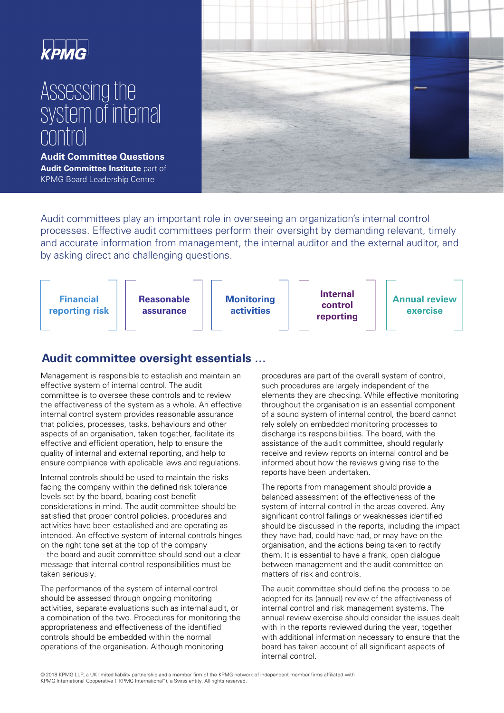

# Assessing the system of internal control

**Audit Committee Questions Audit Committee Institute** part of KPMG Board Leadership Centre



Audit committees play an important role in overseeing an organization's internal control processes. Effective audit committees perform their oversight by demanding relevant, timely and accurate information from management, the internal auditor and the external auditor, and by asking direct and challenging questions.



### **Audit committee oversight essentials …**

Management is responsible to establish and maintain an effective system of internal control. The audit committee is to oversee these controls and to review the effectiveness of the system as a whole. An effective internal control system provides reasonable assurance that policies, processes, tasks, behaviours and other aspects of an organisation, taken together, facilitate its effective and efficient operation, help to ensure the quality of internal and external reporting, and help to ensure compliance with applicable laws and regulations.

Internal controls should be used to maintain the risks facing the company within the defined risk tolerance levels set by the board, bearing cost-benefit considerations in mind. The audit committee should be satisfied that proper control policies, procedures and activities have been established and are operating as intended. An effective system of internal controls hinges on the right tone set at the top of the company – the board and audit committee should send out a clear message that internal control responsibilities must be taken seriously.

The performance of the system of internal control should be assessed through ongoing monitoring activities, separate evaluations such as internal audit, or a combination of the two. Procedures for monitoring the appropriateness and effectiveness of the identified controls should be embedded within the normal operations of the organisation. Although monitoring

procedures are part of the overall system of control, such procedures are largely independent of the elements they are checking. While effective monitoring throughout the organisation is an essential component of a sound system of internal control, the board cannot rely solely on embedded monitoring processes to discharge its responsibilities. The board, with the assistance of the audit committee, should regularly receive and review reports on internal control and be informed about how the reviews giving rise to the reports have been undertaken.

The reports from management should provide a balanced assessment of the effectiveness of the system of internal control in the areas covered. Any significant control failings or weaknesses identified should be discussed in the reports, including the impact they have had, could have had, or may have on the organisation, and the actions being taken to rectify them. It is essential to have a frank, open dialogue between management and the audit committee on matters of risk and controls.

The audit committee should define the process to be adopted for its (annual) review of the effectiveness of internal control and risk management systems. The annual review exercise should consider the issues dealt with in the reports reviewed during the year, together with additional information necessary to ensure that the board has taken account of all significant aspects of internal control.

 © 2018 KPMG LLP, a UK limited liability partnership and a member firm of the KPMG network of independent member firms affiliated with KPMG International Cooperative ("KPMG International"), a Swiss entity. All rights reserved.